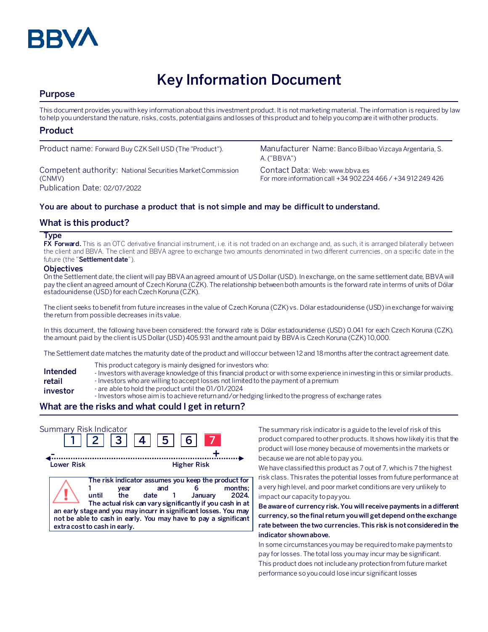

# **Key Information Document**

# **Purpose**

This document provides you with key information about this investment product. It is not marketing material. The information is required by law to help you understand the nature, risks, costs, potential gains and losses of this product and to help you compare it with other products.

# **Product**

Competent authority: National Securities Market Commission (CNMV) Publication Date: 02/07/2022

Product name: Forward Buy CZK Sell USD (The "Product"). Manufacturer Name: Banco Bilbao Vizcaya Argentaria, S. A. ("BBVA")

> Contact Data: Web: www.bbva.es For more information call +34 902 224 466 / +34 912 249 426

## **You are about to purchase a product that is not simple and may be difficult to understand.**

# **What is this product?**

#### **Type**

**FX Forward.** This is an OTC derivative financial instrument, i.e. it is not traded on an exchange and, as such, it is arranged bilaterally between the client and BBVA. The client and BBVA agree to exchange two amounts denominated in two different currencies, on a specific date in the future (the "**Settlement date**").

#### **Objectives**

On the Settlement date, the client will pay BBVA an agreed amount of US Dollar(USD). In exchange, on the same settlement date, BBVA will pay the client an agreed amount of Czech Koruna (CZK). The relationship between both amounts is the forward rate in terms of units of Dólar estadounidense (USD) for each Czech Koruna (CZK).

The client seeks to benefit from future increases in the value of Czech Koruna (CZK) vs. Dólar estadounidense (USD) in exchange for waiving the return from possible decreases in its value.

In this document, the following have been considered: the forward rate is Dólar estadounidense (USD) 0.041 for each Czech Koruna (CZK), the amount paid by the client is US Dollar(USD)405.931 and the amount paid by BBVA is Czech Koruna (CZK) 10,000.

The Settlement date matches the maturity date of the product and will occur between 12 and 18 months after the contract agreement date.

- This product category is mainly designed for investors who:
- **Intended**  - Investors with average knowledge of this financial product or with some experience in investing in this or similar products.
- **retail**  - Investors who are willing to accept losses not limited to the payment of a premium
- **investor** - are able to hold the product until the 01/01/2024
	- Investors whose aim is to achieve return and/or hedging linked to the progress of exchange rates

# **What are the risks and what could I get in return?**

| Summary Risk Indicator |                                                                                                                                                                                             | 2  3  4  5  6                                                                                                                    |                    |                 |
|------------------------|---------------------------------------------------------------------------------------------------------------------------------------------------------------------------------------------|----------------------------------------------------------------------------------------------------------------------------------|--------------------|-----------------|
| Lower Risk             |                                                                                                                                                                                             |                                                                                                                                  | <b>Higher Risk</b> |                 |
|                        | vear<br>until<br>the<br>an early stage and you may incurr in significant losses. You may<br>not be able to cash in early. You may have to pay a significant<br>extra cost to cash in early. | The risk indicator assumes you keep the product for<br>and<br>date 1<br>The actual risk can vary significantly if you cash in at | January            | months:<br>2024 |

The summary risk indicator is a guide to the level of risk of this product compared to other products. It shows how likely it is that the product will lose money because of movements in the markets or because we are not able to pay you.

We have classified this product as 7 out of 7, which is 7 the highest risk class. This rates the potential losses from future performance at a very high level, and poor market conditions are very unlikely to impact our capacity to pay you.

**Be aware of currency risk. You will receive payments in a different currency, so the final return you will get depend on the exchange rate between the two currencies. This risk is not considered in the indicator shown above.**

In some circumstances you may be required to make payments to pay for losses. The total loss you may incur may be significant. This product does not include any protection from future market performance so you could lose incur significant losses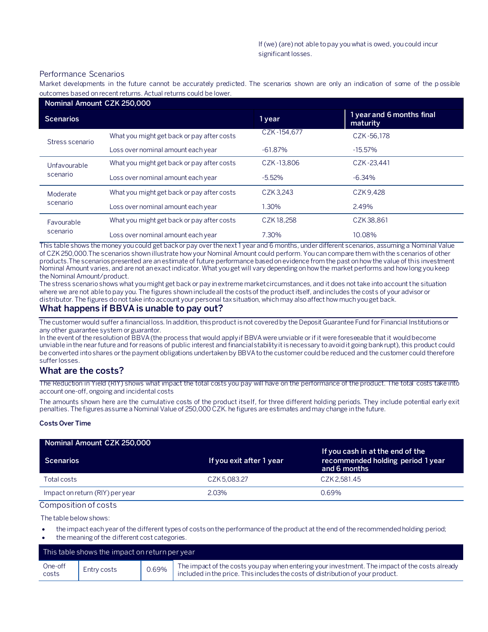#### Performance Scenarios

Market developments in the future cannot be accurately predicted. The scenarios shown are only an indication of some of the p ossible outcomes based on recent returns. Actual returns could be lower.

| Nominal Amount CZK 250,000 |                                            |             |                                       |
|----------------------------|--------------------------------------------|-------------|---------------------------------------|
| <b>Scenarios</b>           |                                            | 1 year      | 1 year and 6 months final<br>maturity |
| Stress scenario            | What you might get back or pay after costs | CZK-154.677 | CZK-56.178                            |
|                            | Loss over nominal amount each year         | $-61.87%$   | $-15.57\%$                            |
| Unfavourable<br>scenario   | What you might get back or pay after costs | CZK-13.806  | CZK-23.441                            |
|                            | Loss over nominal amount each year         | $-5.52%$    | $-6.34\%$                             |
| Moderate<br>scenario       | What you might get back or pay after costs | CZK3.243    | CZK9.428                              |
|                            | Loss over nominal amount each year         | 1.30%       | 2.49%                                 |
| Favourable<br>scenario     | What you might get back or pay after costs | CZK18.258   | CZK38.861                             |
|                            | Loss over nominal amount each year         | 7.30%       | 10.08%                                |

This table shows the money you could get back or pay over the next 1 year and 6 months, under different scenarios, assuming a Nominal Value of CZK 250,000.The scenarios shown illustrate how your Nominal Amount could perform. You can compare them with the s cenarios of other products.The scenarios presented are an estimate of future performance based on evidence from the past on how the value of this investment Nominal Amount varies, and are not an exact indicator. What you get will vary depending on how the market performs and how long you keep the Nominal Amount/product.

The stress scenario shows what you might get back or pay in extreme market circumstances, and it does not take into account the situation where we are not able to pay you. The figures shown include all the costs of the product itself, and includes the costs of your advisor or distributor. The figures do not take into account your personal tax situation, which may also affect how much you get back.

## **What happens if BBVA is unable to pay out?**

The customer would suffer a financial loss. In addition, this product is not covered by the Deposit Guarantee Fund for Financial Institutions or any other guarantee system or guarantor.

In the event of the resolution of BBVA (the process that would apply if BBVA were unviable or if it were foreseeable that it would become unviable in the near future and for reasons of public interest and financial stability it is necessary to avoid it going bankrupt), this product could be converted into shares or the payment obligations undertaken by BBVA to the customer could be reduced and the customer could therefore suffer losses.

#### **What are the costs?**

The Reduction in Yield (RIY) shows what impact the total costs you pay will have on the performance of the product. The total costs take into account one-off, ongoing and incidental costs

The amounts shown here are the cumulative costs of the product itself, for three different holding periods. They include potential early exit penalties. The figures assume a Nominal Value of 250,000 CZK. he figures are estimates and may change in the future.

#### **Costs Over Time**

| Nominal Amount CZK 250,000      |                          |                                                                                       |
|---------------------------------|--------------------------|---------------------------------------------------------------------------------------|
| <b>Scenarios</b>                | If you exit after 1 year | If you cash in at the end of the<br>recommended holding period 1 year<br>and 6 months |
| Total costs                     | CZK 5.083.27             | CZK 2.581.45                                                                          |
| Impact on return (RIY) per year | 2.03%                    | 0.69%                                                                                 |

Composition of costs

The table below shows:

- the impact each year of the different types of costs on the performance of the product at the end of the recommended holding period;
- the meaning of the different cost categories.

| This table shows the impact on return per year |             |       |                                                                                                                                                                                   |
|------------------------------------------------|-------------|-------|-----------------------------------------------------------------------------------------------------------------------------------------------------------------------------------|
| One-off<br>costs                               | Entry costs | 0.69% | The impact of the costs you pay when entering your investment. The impact of the costs already<br>included in the price. This includes the costs of distribution of your product. |